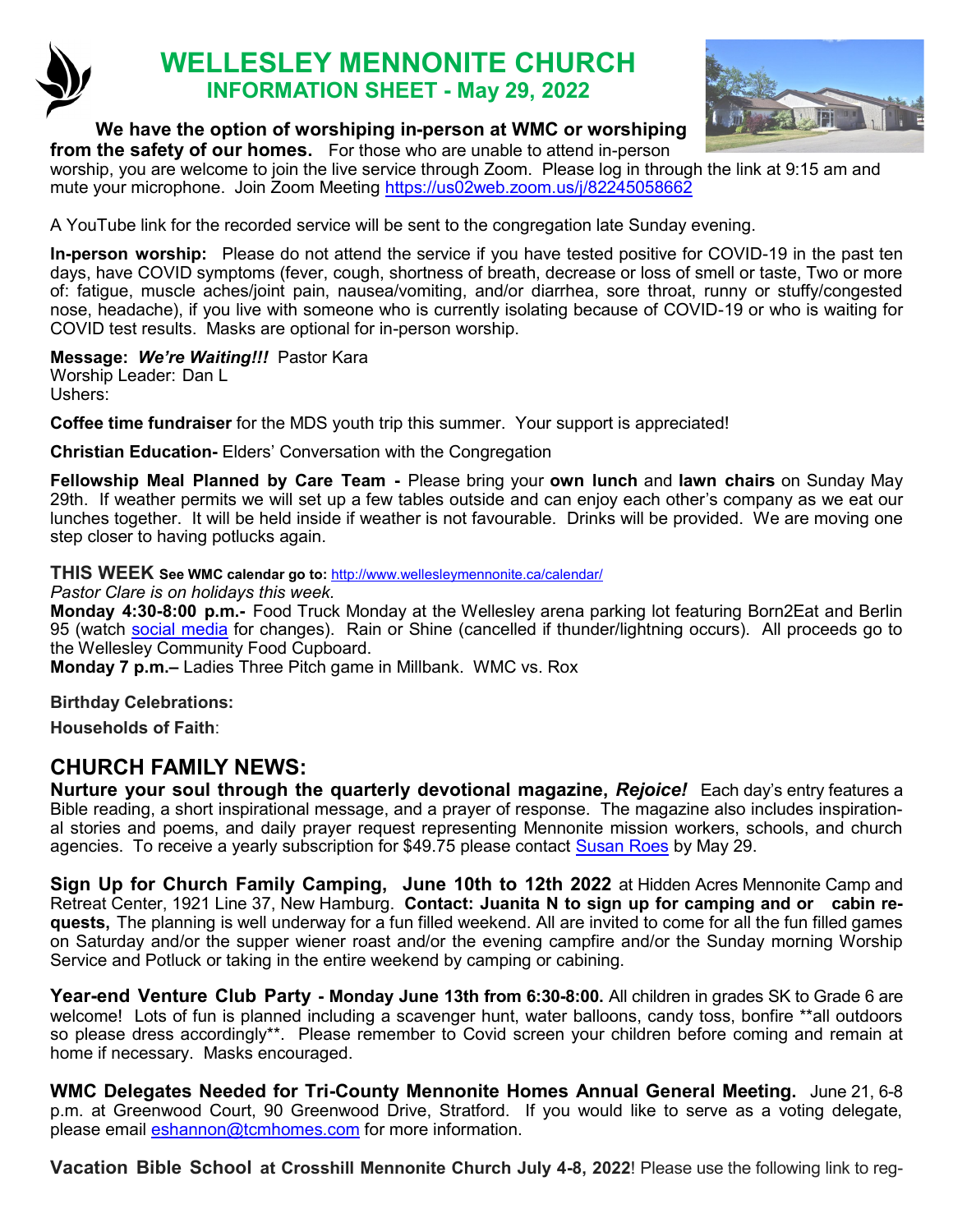

# **WELLESLEY MENNONITE CHURCH INFORMATION SHEET - May 29, 2022**



## **We have the option of worshiping in-person at WMC or worshiping**

**from the safety of our homes.** For those who are unable to attend in-person worship, you are welcome to join the live service through Zoom. Please log in through the link at 9:15 am and mute your microphone. Join Zoom Meeting <https://us02web.zoom.us/j/82245058662>

A YouTube link for the recorded service will be sent to the congregation late Sunday evening.

**In-person worship:** Please do not attend the service if you have tested positive for COVID-19 in the past ten days, have COVID symptoms (fever, cough, shortness of breath, decrease or loss of smell or taste, Two or more of: fatigue, muscle aches/joint pain, nausea/vomiting, and/or diarrhea, sore throat, runny or stuffy/congested nose, headache), if you live with someone who is currently isolating because of COVID-19 or who is waiting for COVID test results. Masks are optional for in-person worship.

**Message:** *We're Waiting!!!* Pastor Kara Worship Leader: Dan L

Ushers:

**Coffee time fundraiser** for the MDS youth trip this summer. Your support is appreciated!

**Christian Education-** Elders' Conversation with the Congregation

**Fellowship Meal Planned by Care Team -** Please bring your **own lunch** and **lawn chairs** on Sunday May 29th. If weather permits we will set up a few tables outside and can enjoy each other's company as we eat our lunches together. It will be held inside if weather is not favourable. Drinks will be provided. We are moving one step closer to having potlucks again.

**THIS WEEK See WMC calendar go to:** <http://www.wellesleymennonite.ca/calendar/>

*Pastor Clare is on holidays this week.*

**Monday 4:30-8:00 p.m.-** Food Truck Monday at the Wellesley arena parking lot featuring Born2Eat and Berlin 95 (watch [social media](https://www.instagram.com/stmarkswellesley/) for changes). Rain or Shine (cancelled if thunder/lightning occurs). All proceeds go to the Wellesley Community Food Cupboard.

**Monday 7 p.m.–** Ladies Three Pitch game in Millbank. WMC vs. Rox

**Birthday Celebrations:** 

**Households of Faith**:

# **CHURCH FAMILY NEWS:**

**Nurture your soul through the quarterly devotional magazine,** *Rejoice!* Each day's entry features a Bible reading, a short inspirational message, and a prayer of response. The magazine also includes inspirational stories and poems, and daily prayer request representing Mennonite mission workers, schools, and church agencies. To receive a yearly subscription for \$49.75 please contact [Susan Roes](mailto:office@wellesleymennonite.ca) by May 29.

**Sign Up for Church Family Camping, June 10th to 12th 2022** at Hidden Acres Mennonite Camp and Retreat Center, 1921 Line 37, New Hamburg. **Contact: Juanita N to sign up for camping and or cabin requests,** The planning is well underway for a fun filled weekend. All are invited to come for all the fun filled games on Saturday and/or the supper wiener roast and/or the evening campfire and/or the Sunday morning Worship Service and Potluck or taking in the entire weekend by camping or cabining.

**Year-end Venture Club Party - Monday June 13th from 6:30-8:00.** All children in grades SK to Grade 6 are welcome! Lots of fun is planned including a scavenger hunt, water balloons, candy toss, bonfire \*\*all outdoors so please dress accordingly\*\*. Please remember to Covid screen your children before coming and remain at home if necessary. Masks encouraged.

**WMC Delegates Needed for Tri-County Mennonite Homes Annual General Meeting.** June 21, 6-8 p.m. at Greenwood Court, 90 Greenwood Drive, Stratford. If you would like to serve as a voting delegate, please email [eshannon@tcmhomes.com](mailto:eshannon@tcmhomes.com) for more information.

**Vacation Bible School at Crosshill Mennonite Church July 4-8, 2022**! Please use the following link to reg-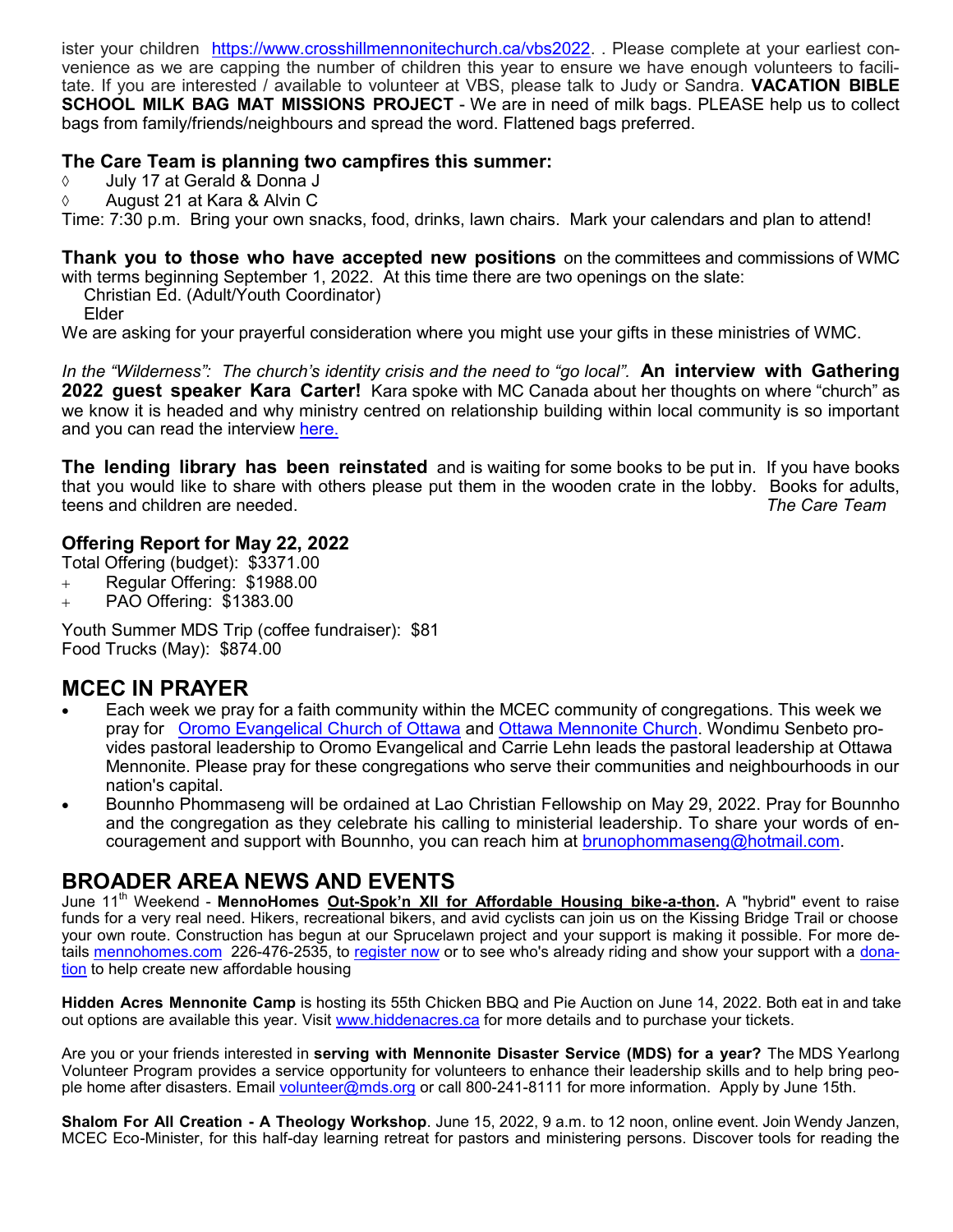ister your children [https://www.crosshillmennonitechurch.ca/vbs2022.](https://www.crosshillmennonitechurch.ca/vbs2022) . Please complete at your earliest convenience as we are capping the number of children this year to ensure we have enough volunteers to facilitate. If you are interested / available to volunteer at VBS, please talk to Judy or Sandra. **VACATION BIBLE SCHOOL MILK BAG MAT MISSIONS PROJECT** - We are in need of milk bags. PLEASE help us to collect bags from family/friends/neighbours and spread the word. Flattened bags preferred.

### **The Care Team is planning two campfires this summer:**

- July 17 at Gerald & Donna J
- August 21 at Kara & Alvin C

Time: 7:30 p.m. Bring your own snacks, food, drinks, lawn chairs. Mark your calendars and plan to attend!

**Thank you to those who have accepted new positions** on the committees and commissions of WMC with terms beginning September 1, 2022. At this time there are two openings on the slate:

Christian Ed. (Adult/Youth Coordinator)

Elder

We are asking for your prayerful consideration where you might use your gifts in these ministries of WMC.

*In the "Wilderness": The church's identity crisis and the need to "go local".* **An interview with Gathering 2022 guest speaker Kara Carter!** Kara spoke with MC Canada about her thoughts on where "church" as we know it is headed and why ministry centred on relationship building within local community is so important and you can read the interview [here.](https://www.mennonitechurch.ca/article/13434-in-the-wilderness-the-churchs-identity-crisis-and-the-need-to-go-local)

**The lending library has been reinstated** and is waiting for some books to be put in. If you have books that you would like to share with others please put them in the wooden crate in the lobby. Books for adults, teens and children are needed. *The Care Team* 

#### **Offering Report for May 22, 2022**

Total Offering (budget): \$3371.00

- + Regular Offering: \$1988.00
- + PAO Offering: \$1383.00

Youth Summer MDS Trip (coffee fundraiser): \$81 Food Trucks (May): \$874.00

## **MCEC IN PRAYER**

- Each week we pray for a faith community within the MCEC community of congregations. This week we pray for [Oromo Evangelical Church of Ottawa](http://www.oromoevangelicalchurchofottawa.org/?fbclid=IwAR2spLxjpA4QzaoWvr28NITv4ouj9c2ilpVhCHZFY_0xWlGI34MhdOfVGMk) and [Ottawa Mennonite Church.](https://ottawamennonitechurch.org/) Wondimu Senbeto provides pastoral leadership to Oromo Evangelical and Carrie Lehn leads the pastoral leadership at Ottawa Mennonite. Please pray for these congregations who serve their communities and neighbourhoods in our nation's capital.
- Bounnho Phommaseng will be ordained at Lao Christian Fellowship on May 29, 2022. Pray for Bounnho and the congregation as they celebrate his calling to ministerial leadership. To share your words of encouragement and support with Bounnho, you can reach him at [brunophommaseng@hotmail.com.](mailto:brunophommaseng@hotmail.com)

# **BROADER AREA NEWS AND EVENTS**

June 11th Weekend - **MennoHomes Out-Spok'[n XII for Affordable Housing bike](https://t.e2ma.net/click/r0dmhh/np2qvh/nt1ktt)-a-thon.** A "hybrid" event to raise funds for a very real need. Hikers, recreational bikers, and avid cyclists can join us on the Kissing Bridge Trail or choose your own route. Construction has begun at our Sprucelawn project and your support is making it possible. For more details<mennohomes.com>226-476-2535, to [register now](https://www.canadahelps.org/en/charities/mennohomes-inc/p2p/Out-SpoknXIIBike-a-Thon2022/) or to see who's already riding and show your support with a [dona](https://www.canadahelps.org/en/charities/mennohomes-inc/p2p/Out-SpoknXIIBike-a-Thon2022/)[tion](https://www.canadahelps.org/en/charities/mennohomes-inc/p2p/Out-SpoknXIIBike-a-Thon2022/) to help create new affordable housing

**Hidden Acres Mennonite Camp** is hosting its 55th Chicken BBQ and Pie Auction on June 14, 2022. Both eat in and take out options are available this year. Visit [www.hiddenacres.ca](http://www.hiddenacres.ca/) for more details and to purchase your tickets.

Are you or your friends interested in **serving with Mennonite Disaster Service (MDS) for a year?** The MDS Yearlong Volunteer Program provides a service opportunity for volunteers to enhance their leadership skills and to help bring people home after disasters. Email [volunteer@mds.org](mailto:volunteer@mds.org) or call 800-241-8111 for more information. Apply by June 15th.

**Shalom For All Creation - A Theology Workshop**. June 15, 2022, 9 a.m. to 12 noon, online event. Join Wendy Janzen, MCEC Eco-Minister, for this half-day learning retreat for pastors and ministering persons. Discover tools for reading the